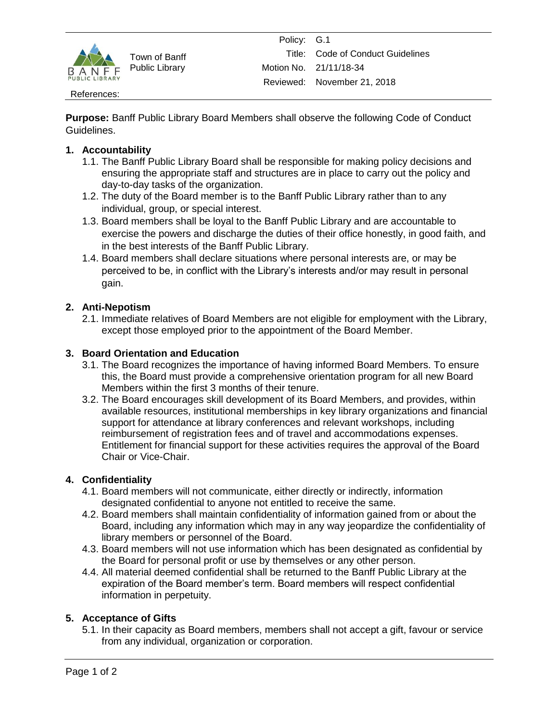

Town of Banff Public Library

#### References:

**Purpose:** Banff Public Library Board Members shall observe the following Code of Conduct Guidelines.

### **1. Accountability**

- 1.1. The Banff Public Library Board shall be responsible for making policy decisions and ensuring the appropriate staff and structures are in place to carry out the policy and day-to-day tasks of the organization.
- 1.2. The duty of the Board member is to the Banff Public Library rather than to any individual, group, or special interest.
- 1.3. Board members shall be loyal to the Banff Public Library and are accountable to exercise the powers and discharge the duties of their office honestly, in good faith, and in the best interests of the Banff Public Library.
- 1.4. Board members shall declare situations where personal interests are, or may be perceived to be, in conflict with the Library's interests and/or may result in personal gain.

## **2. Anti-Nepotism**

2.1. Immediate relatives of Board Members are not eligible for employment with the Library, except those employed prior to the appointment of the Board Member.

## **3. Board Orientation and Education**

- 3.1. The Board recognizes the importance of having informed Board Members. To ensure this, the Board must provide a comprehensive orientation program for all new Board Members within the first 3 months of their tenure.
- 3.2. The Board encourages skill development of its Board Members, and provides, within available resources, institutional memberships in key library organizations and financial support for attendance at library conferences and relevant workshops, including reimbursement of registration fees and of travel and accommodations expenses. Entitlement for financial support for these activities requires the approval of the Board Chair or Vice-Chair.

#### **4. Confidentiality**

- 4.1. Board members will not communicate, either directly or indirectly, information designated confidential to anyone not entitled to receive the same.
- 4.2. Board members shall maintain confidentiality of information gained from or about the Board, including any information which may in any way jeopardize the confidentiality of library members or personnel of the Board.
- 4.3. Board members will not use information which has been designated as confidential by the Board for personal profit or use by themselves or any other person.
- 4.4. All material deemed confidential shall be returned to the Banff Public Library at the expiration of the Board member's term. Board members will respect confidential information in perpetuity.

### **5. Acceptance of Gifts**

5.1. In their capacity as Board members, members shall not accept a gift, favour or service from any individual, organization or corporation.